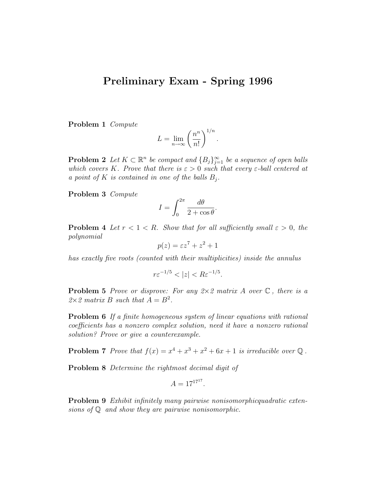## Preliminary Exam - Spring 1996

Problem 1 Compute

$$
L = \lim_{n \to \infty} \left( \frac{n^n}{n!} \right)^{1/n}.
$$

**Problem 2** Let  $K \subset \mathbb{R}^n$  be compact and  ${B_j}_{j=1}^{\infty}$  be a sequence of open balls which covers K. Prove that there is  $\varepsilon > 0$  such that every  $\varepsilon$ -ball centered at a point of K is contained in one of the balls  $B_j$ .

Problem 3 Compute

$$
I = \int_0^{2\pi} \frac{d\theta}{2 + \cos \theta}.
$$

**Problem 4** Let  $r < 1 < R$ . Show that for all sufficiently small  $\varepsilon > 0$ , the polynomial

$$
p(z) = \varepsilon z^7 + z^2 + 1
$$

has exactly five roots (counted with their multiplicities) inside the annulus

$$
r\varepsilon^{-1/5} < |z| < R\varepsilon^{-1/5}.
$$

**Problem 5** Prove or disprove: For any  $2 \times 2$  matrix A over  $\mathbb{C}$ , there is a  $2 \times 2$  matrix B such that  $A = B^2$ .

Problem 6 If a finite homogeneous system of linear equations with rational coefficients has a nonzero complex solution, need it have a nonzero rational solution? Prove or give a counterexample.

**Problem 7** Prove that  $f(x) = x^4 + x^3 + x^2 + 6x + 1$  is irreducible over  $\mathbb{Q}$ .

Problem 8 Determine the rightmost decimal digit of

$$
A = 17^{17^{17}}.
$$

Problem 9 Exhibit infinitely many pairwise nonisomorphicquadratic extensions of Q and show they are pairwise nonisomorphic.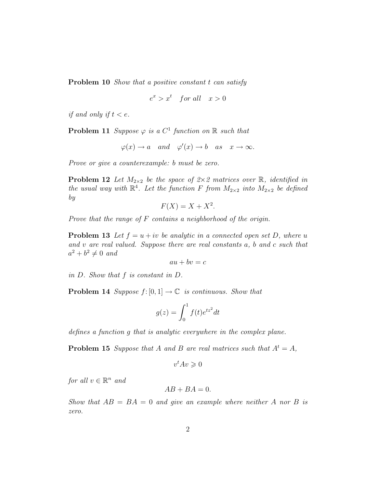Problem 10 *Show that a positive constant t can satisfy* 

$$
e^x > x^t \quad \text{for all} \quad x > 0
$$

if and only if  $t < e$ .

**Problem 11** Suppose  $\varphi$  is a  $C^1$  function on  $\mathbb R$  such that

$$
\varphi(x) \to a
$$
 and  $\varphi'(x) \to b$  as  $x \to \infty$ .

Prove or give a counterexample: b must be zero.

**Problem 12** Let  $M_{2\times 2}$  be the space of  $2\times 2$  matrices over  $\mathbb{R}$ , identified in the usual way with  $\mathbb{R}^4$ . Let the function F from  $M_{2\times 2}$  into  $M_{2\times 2}$  be defined by

$$
F(X) = X + X^2.
$$

Prove that the range of F contains a neighborhood of the origin.

**Problem 13** Let  $f = u + iv$  be analytic in a connected open set D, where u and v are real valued. Suppose there are real constants a, b and c such that  $a^2 + b^2 \neq 0$  and

$$
au + bv = c
$$

in D. Show that f is constant in D.

**Problem 14** Suppose  $f: [0, 1] \rightarrow \mathbb{C}$  is continuous. Show that

$$
g(z) = \int_0^1 f(t)e^{iz^2} dt
$$

defines a function g that is analytic everywhere in the complex plane.

**Problem 15** Suppose that A and B are real matrices such that  $A^t = A$ ,

$$
v^tAv\geqslant 0
$$

for all  $v \in \mathbb{R}^n$  and

$$
AB + BA = 0.
$$

Show that  $AB = BA = 0$  and give an example where neither A nor B is zero.